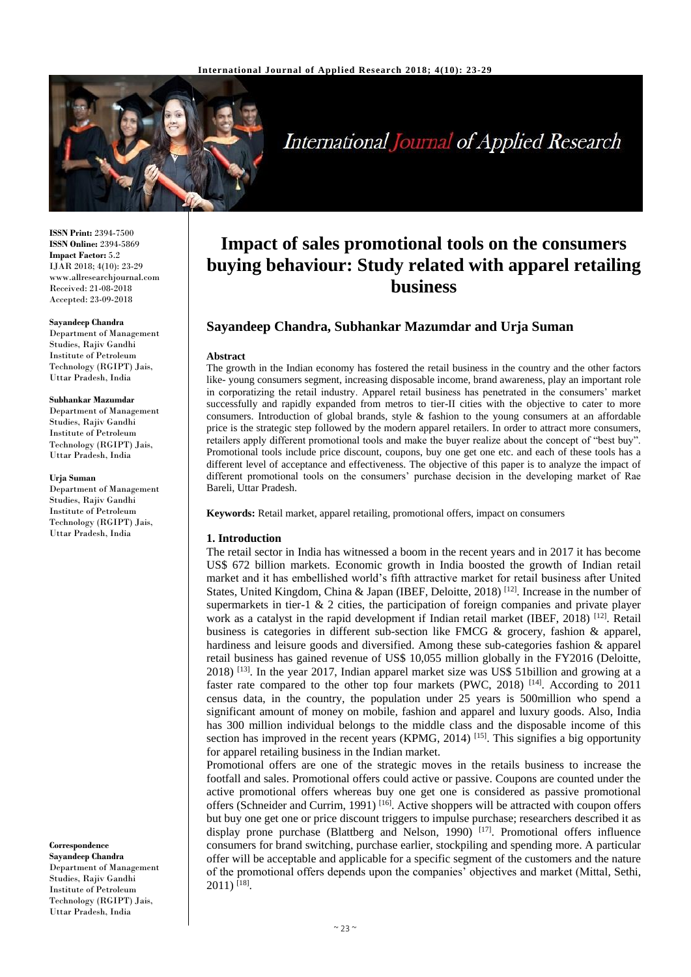

**International Journal of Applied Research** 

**ISSN Print:** 2394-7500 **ISSN Online:** 2394-5869 **Impact Factor:** 5.2 IJAR 2018; 4(10): 23-29 www.allresearchjournal.com Received: 21-08-2018 Accepted: 23-09-2018

#### **Sayandeep Chandra**

Department of Management Studies, Rajiv Gandhi Institute of Petroleum Technology (RGIPT) Jais, Uttar Pradesh, India

#### **Subhankar Mazumdar**

Department of Management Studies, Rajiv Gandhi Institute of Petroleum Technology (RGIPT) Jais, Uttar Pradesh, India

#### **Urja Suman**

Department of Management Studies, Rajiv Gandhi Institute of Petroleum Technology (RGIPT) Jais, Uttar Pradesh, India

**Correspondence Sayandeep Chandra** Department of Management Studies, Rajiv Gandhi Institute of Petroleum Technology (RGIPT) Jais, Uttar Pradesh, India

# **Impact of sales promotional tools on the consumers buying behaviour: Study related with apparel retailing business**

# **Sayandeep Chandra, Subhankar Mazumdar and Urja Suman**

#### **Abstract**

The growth in the Indian economy has fostered the retail business in the country and the other factors like- young consumers segment, increasing disposable income, brand awareness, play an important role in corporatizing the retail industry. Apparel retail business has penetrated in the consumers' market successfully and rapidly expanded from metros to tier-II cities with the objective to cater to more consumers. Introduction of global brands, style & fashion to the young consumers at an affordable price is the strategic step followed by the modern apparel retailers. In order to attract more consumers, retailers apply different promotional tools and make the buyer realize about the concept of "best buy". Promotional tools include price discount, coupons, buy one get one etc. and each of these tools has a different level of acceptance and effectiveness. The objective of this paper is to analyze the impact of different promotional tools on the consumers' purchase decision in the developing market of Rae Bareli, Uttar Pradesh.

**Keywords:** Retail market, apparel retailing, promotional offers, impact on consumers

#### **1. Introduction**

The retail sector in India has witnessed a boom in the recent years and in 2017 it has become US\$ 672 billion markets. Economic growth in India boosted the growth of Indian retail market and it has embellished world's fifth attractive market for retail business after United States, United Kingdom, China & Japan (IBEF, Deloitte, 2018)<sup>[12]</sup>. Increase in the number of supermarkets in tier-1  $\&$  2 cities, the participation of foreign companies and private player work as a catalyst in the rapid development if Indian retail market (IBEF, 2018)<sup>[12]</sup>. Retail business is categories in different sub-section like FMCG & grocery, fashion & apparel, hardiness and leisure goods and diversified. Among these sub-categories fashion & apparel retail business has gained revenue of US\$ 10,055 million globally in the FY2016 (Deloitte, 2018) [13] . In the year 2017, Indian apparel market size was US\$ 51billion and growing at a faster rate compared to the other top four markets (PWC, 2018)<sup>[14]</sup>. According to 2011 census data, in the country, the population under 25 years is 500million who spend a significant amount of money on mobile, fashion and apparel and luxury goods. Also, India has 300 million individual belongs to the middle class and the disposable income of this section has improved in the recent years  $(KPMG, 2014)$ <sup>[15]</sup>. This signifies a big opportunity for apparel retailing business in the Indian market.

Promotional offers are one of the strategic moves in the retails business to increase the footfall and sales. Promotional offers could active or passive. Coupons are counted under the active promotional offers whereas buy one get one is considered as passive promotional offers (Schneider and Currim, 1991)<sup>[16]</sup>. Active shoppers will be attracted with coupon offers but buy one get one or price discount triggers to impulse purchase; researchers described it as display prone purchase (Blattberg and Nelson, 1990)<sup>[17]</sup>. Promotional offers influence consumers for brand switching, purchase earlier, stockpiling and spending more. A particular offer will be acceptable and applicable for a specific segment of the customers and the nature of the promotional offers depends upon the companies' objectives and market (Mittal, Sethi, 2011) [18] .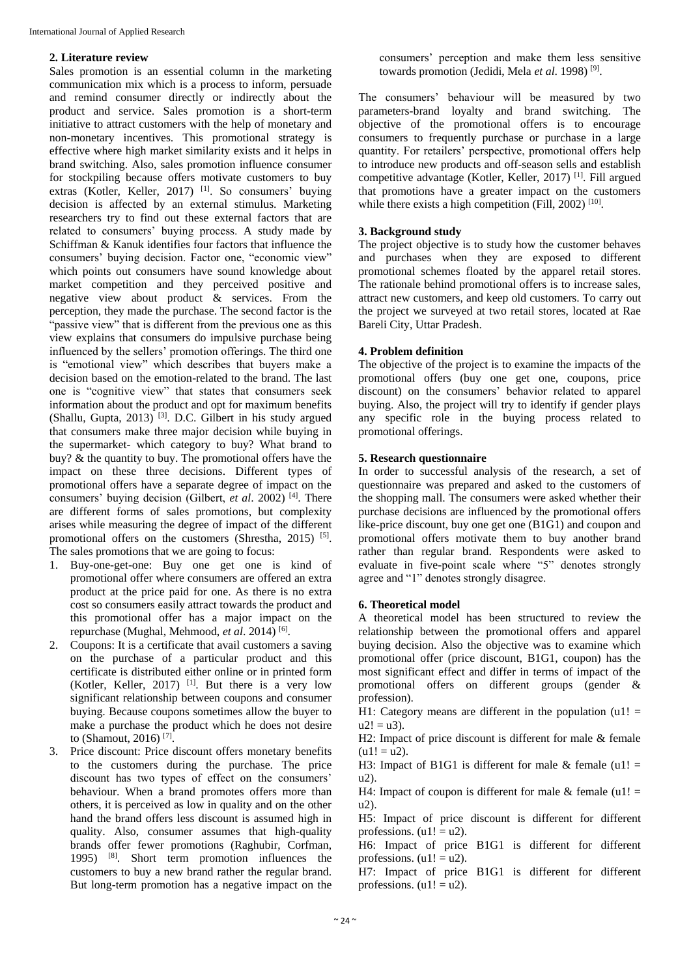#### **2. Literature review**

Sales promotion is an essential column in the marketing communication mix which is a process to inform, persuade and remind consumer directly or indirectly about the product and service. Sales promotion is a short-term initiative to attract customers with the help of monetary and non-monetary incentives. This promotional strategy is effective where high market similarity exists and it helps in brand switching. Also, sales promotion influence consumer for stockpiling because offers motivate customers to buy extras (Kotler, Keller, 2017) <sup>[1]</sup>. So consumers' buying decision is affected by an external stimulus. Marketing researchers try to find out these external factors that are related to consumers' buying process. A study made by Schiffman & Kanuk identifies four factors that influence the consumers' buying decision. Factor one, "economic view" which points out consumers have sound knowledge about market competition and they perceived positive and negative view about product & services. From the perception, they made the purchase. The second factor is the "passive view" that is different from the previous one as this view explains that consumers do impulsive purchase being influenced by the sellers' promotion offerings. The third one is "emotional view" which describes that buyers make a decision based on the emotion-related to the brand. The last one is "cognitive view" that states that consumers seek information about the product and opt for maximum benefits (Shallu, Gupta, 2013)<sup>[3]</sup>. D.C. Gilbert in his study argued that consumers make three major decision while buying in the supermarket- which category to buy? What brand to buy? & the quantity to buy. The promotional offers have the impact on these three decisions. Different types of promotional offers have a separate degree of impact on the consumers' buying decision (Gilbert, *et al*. 2002) [4] . There are different forms of sales promotions, but complexity arises while measuring the degree of impact of the different promotional offers on the customers (Shrestha, 2015) [5]. The sales promotions that we are going to focus:

- 1. Buy-one-get-one: Buy one get one is kind of promotional offer where consumers are offered an extra product at the price paid for one. As there is no extra cost so consumers easily attract towards the product and this promotional offer has a major impact on the repurchase (Mughal, Mehmood, *et al.* 2014)<sup>[6]</sup>.
- 2. Coupons: It is a certificate that avail customers a saving on the purchase of a particular product and this certificate is distributed either online or in printed form (Kotler, Keller, 2017)<sup>[1]</sup>. But there is a very low significant relationship between coupons and consumer buying. Because coupons sometimes allow the buyer to make a purchase the product which he does not desire to (Shamout, 2016) [7] .

3. Price discount: Price discount offers monetary benefits to the customers during the purchase. The price discount has two types of effect on the consumers' behaviour. When a brand promotes offers more than others, it is perceived as low in quality and on the other hand the brand offers less discount is assumed high in quality. Also, consumer assumes that high-quality brands offer fewer promotions (Raghubir, Corfman, 1995) [8] . Short term promotion influences the customers to buy a new brand rather the regular brand. But long-term promotion has a negative impact on the consumers' perception and make them less sensitive towards promotion (Jedidi, Mela *et al*. 1998) [9] .

The consumers' behaviour will be measured by two parameters-brand loyalty and brand switching. The objective of the promotional offers is to encourage consumers to frequently purchase or purchase in a large quantity. For retailers' perspective, promotional offers help to introduce new products and off-season sells and establish competitive advantage (Kotler, Keller, 2017)<sup>[1]</sup>. Fill argued that promotions have a greater impact on the customers while there exists a high competition (Fill, 2002)<sup>[10]</sup>.

## **3. Background study**

The project objective is to study how the customer behaves and purchases when they are exposed to different promotional schemes floated by the apparel retail stores. The rationale behind promotional offers is to increase sales, attract new customers, and keep old customers. To carry out the project we surveyed at two retail stores, located at Rae Bareli City, Uttar Pradesh.

## **4. Problem definition**

The objective of the project is to examine the impacts of the promotional offers (buy one get one, coupons, price discount) on the consumers' behavior related to apparel buying. Also, the project will try to identify if gender plays any specific role in the buying process related to promotional offerings.

## **5. Research questionnaire**

In order to successful analysis of the research, a set of questionnaire was prepared and asked to the customers of the shopping mall. The consumers were asked whether their purchase decisions are influenced by the promotional offers like-price discount, buy one get one (B1G1) and coupon and promotional offers motivate them to buy another brand rather than regular brand. Respondents were asked to evaluate in five-point scale where "5" denotes strongly agree and "1" denotes strongly disagree.

## **6. Theoretical model**

A theoretical model has been structured to review the relationship between the promotional offers and apparel buying decision. Also the objective was to examine which promotional offer (price discount, B1G1, coupon) has the most significant effect and differ in terms of impact of the promotional offers on different groups (gender & profession).

H1: Category means are different in the population  $(u_1)$  =  $u2! = u3$ ).

H2: Impact of price discount is different for male & female  $(u1! = u2).$ 

H3: Impact of B1G1 is different for male  $&$  female (u1! =  $n(2)$ .

H4: Impact of coupon is different for male  $&$  female (u1! = u2).

H5: Impact of price discount is different for different professions.  $(u1! = u2)$ .

H6: Impact of price B1G1 is different for different professions.  $(u1! = u2)$ .

H7: Impact of price B1G1 is different for different professions.  $(u1! = u2)$ .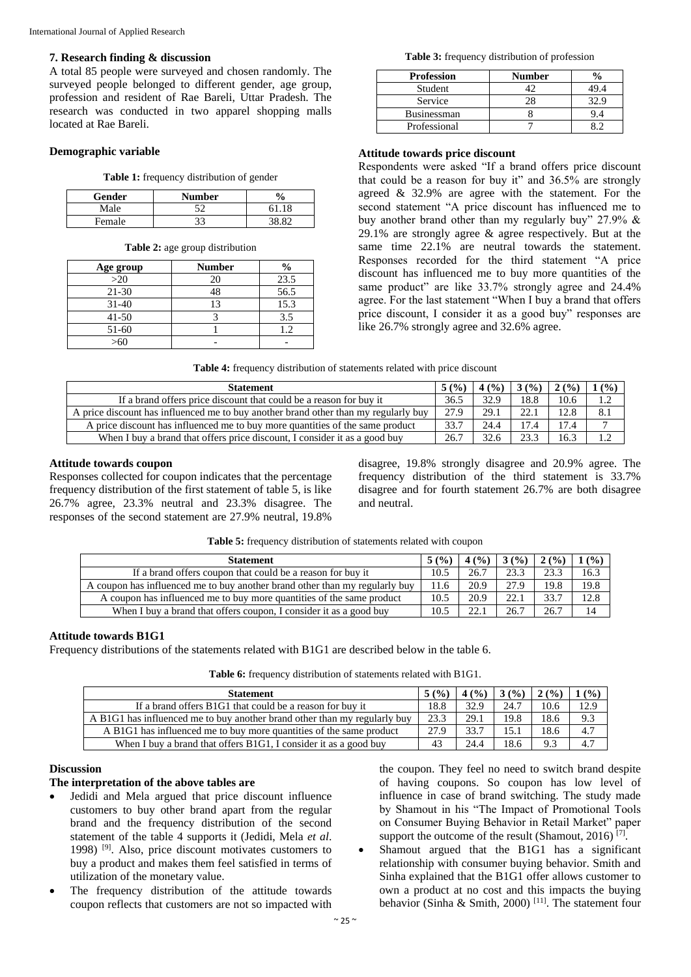#### **7. Research finding & discussion**

A total 85 people were surveyed and chosen randomly. The surveyed people belonged to different gender, age group, profession and resident of Rae Bareli, Uttar Pradesh. The research was conducted in two apparel shopping malls located at Rae Bareli.

# **Demographic variable**

| <b>Table 1:</b> frequency distribution of gender |  |  |  |  |
|--------------------------------------------------|--|--|--|--|
|--------------------------------------------------|--|--|--|--|

| Gender | Number | $\frac{0}{0}$ |
|--------|--------|---------------|
| Male   | ∹≏     | 61.18         |
| Female | າລ     | າວ ວາ         |

**Table 2:** age group distribution

| Age group | <b>Number</b> | $\frac{0}{0}$ |
|-----------|---------------|---------------|
| >20       | 20            | 23.5          |
| $21 - 30$ |               | 56.5          |
| $31 - 40$ |               | 15.3          |
| $41 - 50$ |               | 3.5           |
| $51-60$   |               |               |
|           |               |               |

**Table 3:** frequency distribution of profession

| <b>Profession</b>  | Number |  |
|--------------------|--------|--|
| Student            |        |  |
| Service            |        |  |
| <b>Businessman</b> |        |  |
| Professional       |        |  |

# **Attitude towards price discount**

Respondents were asked "If a brand offers price discount that could be a reason for buy it" and 36.5% are strongly agreed & 32.9% are agree with the statement. For the second statement "A price discount has influenced me to buy another brand other than my regularly buy" 27.9% & 29.1% are strongly agree & agree respectively. But at the same time 22.1% are neutral towards the statement. Responses recorded for the third statement "A price discount has influenced me to buy more quantities of the same product" are like 33.7% strongly agree and 24.4% agree. For the last statement "When I buy a brand that offers price discount, I consider it as a good buy" responses are like 26.7% strongly agree and 32.6% agree.

|  |  | Table 4: frequency distribution of statements related with price discount |  |
|--|--|---------------------------------------------------------------------------|--|
|--|--|---------------------------------------------------------------------------|--|

| <b>Statement</b>                                                                    | 5(%) | 4(%) | 3(%) | 2(%) | 1(%) |
|-------------------------------------------------------------------------------------|------|------|------|------|------|
| If a brand offers price discount that could be a reason for buy it                  | 36.5 | 32.9 | 18.8 | 10.6 |      |
| A price discount has influenced me to buy another brand other than my regularly buy | 27.9 | 29.1 | 22.1 | 12.8 | 8.1  |
| A price discount has influenced me to buy more quantities of the same product       | 33.7 | 24.4 | 17.4 | 17.4 |      |
| When I buy a brand that offers price discount, I consider it as a good buy          | 26.7 |      | 23.3 | 16.3 |      |

# **Attitude towards coupon**

Responses collected for coupon indicates that the percentage frequency distribution of the first statement of table 5, is like 26.7% agree, 23.3% neutral and 23.3% disagree. The responses of the second statement are 27.9% neutral, 19.8%

disagree, 19.8% strongly disagree and 20.9% agree. The frequency distribution of the third statement is 33.7% disagree and for fourth statement 26.7% are both disagree and neutral.

| <b>Statement</b>                                                            | 5(%) | 4(%) | 3(%) | 2(%) | $($ %) |
|-----------------------------------------------------------------------------|------|------|------|------|--------|
| If a brand offers coupon that could be a reason for buy it                  | 10.5 | 26.7 | 23.3 | 23.3 | 16.3   |
| A coupon has influenced me to buy another brand other than my regularly buy | 11.6 | 20.9 | 27.9 | 19.8 | 19.8   |
| A coupon has influenced me to buy more quantities of the same product       | 10.5 | 20.9 | 22.1 | 33.7 | 12.8   |
| When I buy a brand that offers coupon, I consider it as a good buy          | 10.5 | 22.1 | 26.7 | 26.7 | 14     |

# **Attitude towards B1G1**

Frequency distributions of the statements related with B1G1 are described below in the table 6.

**Table 6:** frequency distribution of statements related with B1G1.

| <b>Statement</b>                                                          | 5(%) | 4(%) | 3(%) | 2(%) | (%)  |
|---------------------------------------------------------------------------|------|------|------|------|------|
| If a brand offers B1G1 that could be a reason for buy it                  | 18.8 | 32.9 | 24.7 | 10.6 | 12.9 |
| A B1G1 has influenced me to buy another brand other than my regularly buy | 23.3 | 29.1 | 19.8 | 18.6 | 9.3  |
| A B1G1 has influenced me to buy more quantities of the same product       | 27.9 | 33.7 | 15.1 | 18.6 | 4.7  |
| When I buy a brand that offers B1G1, I consider it as a good buy          | 43   | 24.4 | 18.6 | 9.3  | 4.7  |

#### **Discussion**

# **The interpretation of the above tables are**

- Jedidi and Mela argued that price discount influence customers to buy other brand apart from the regular brand and the frequency distribution of the second statement of the table 4 supports it (Jedidi, Mela *et al*. 1998) [9] . Also, price discount motivates customers to buy a product and makes them feel satisfied in terms of utilization of the monetary value.
- The frequency distribution of the attitude towards coupon reflects that customers are not so impacted with

the coupon. They feel no need to switch brand despite of having coupons. So coupon has low level of influence in case of brand switching. The study made by Shamout in his "The Impact of Promotional Tools on Consumer Buying Behavior in Retail Market" paper support the outcome of the result (Shamout, 2016)<sup>[7]</sup>.

 Shamout argued that the B1G1 has a significant relationship with consumer buying behavior. Smith and Sinha explained that the B1G1 offer allows customer to own a product at no cost and this impacts the buying behavior (Sinha & Smith, 2000)<sup>[11]</sup>. The statement four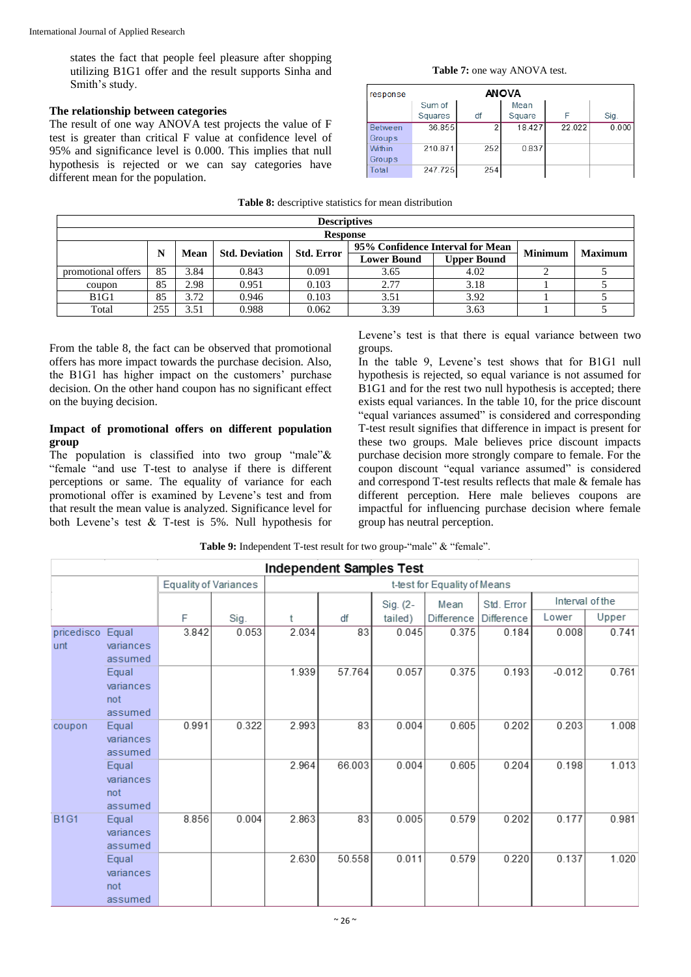states the fact that people feel pleasure after shopping utilizing B1G1 offer and the result supports Sinha and Smith's study.

#### **The relationship between categories**

The result of one way ANOVA test projects the value of F test is greater than critical F value at confidence level of 95% and significance level is 0.000. This implies that null hypothesis is rejected or we can say categories have different mean for the population.

|                    | $-$ while or weberiper to beautified for theme endered website |      |                       |                     |                                  |                    |                |                |  |  |  |
|--------------------|----------------------------------------------------------------|------|-----------------------|---------------------|----------------------------------|--------------------|----------------|----------------|--|--|--|
|                    |                                                                |      |                       | <b>Descriptives</b> |                                  |                    |                |                |  |  |  |
|                    | <b>Response</b>                                                |      |                       |                     |                                  |                    |                |                |  |  |  |
|                    | N<br>Mean                                                      |      | <b>Std. Deviation</b> | <b>Std. Error</b>   | 95% Confidence Interval for Mean |                    | <b>Minimum</b> | <b>Maximum</b> |  |  |  |
|                    |                                                                |      |                       |                     | <b>Lower Bound</b>               | <b>Upper Bound</b> |                |                |  |  |  |
| promotional offers | 85                                                             | 3.84 | 0.843                 | 0.091               | 3.65                             | 4.02               |                |                |  |  |  |
| coupon             | 85                                                             | 2.98 | 0.951                 | 0.103               | 2.77                             | 3.18               |                |                |  |  |  |
| B1G1               | 85                                                             | 3.72 | 0.946                 | 0.103               | 3.51                             | 3.92               |                |                |  |  |  |
| Total              | 255                                                            | 3.51 | 0.988                 | 0.062               | 3.39                             | 3.63               |                |                |  |  |  |

#### **Table 7:** one way ANOVA test.

| response                 | <b>ANOVA</b>      |        |                |        |       |  |  |  |  |
|--------------------------|-------------------|--------|----------------|--------|-------|--|--|--|--|
|                          | Sum of<br>Squares | df     | Mean<br>Square |        | Sig.  |  |  |  |  |
| <b>Between</b><br>Groups | 36.855            | $\sim$ | 18.427         | 22.022 | 0.000 |  |  |  |  |
| Within<br>Groups         | 210.871           | 252    | 0.837          |        |       |  |  |  |  |
| Total                    | 247.725           | 254    |                |        |       |  |  |  |  |

#### **Table 8:** descriptive statistics for mean distribution

From the table 8, the fact can be observed that promotional offers has more impact towards the purchase decision. Also, the B1G1 has higher impact on the customers' purchase decision. On the other hand coupon has no significant effect on the buying decision.

#### **Impact of promotional offers on different population group**

The population is classified into two group "male" $\&$ "female "and use T-test to analyse if there is different perceptions or same. The equality of variance for each promotional offer is examined by Levene's test and from that result the mean value is analyzed. Significance level for both Levene's test & T-test is 5%. Null hypothesis for

Levene's test is that there is equal variance between two groups.

In the table 9, Levene's test shows that for B1G1 null hypothesis is rejected, so equal variance is not assumed for B<sub>1G1</sub> and for the rest two null hypothesis is accepted; there exists equal variances. In the table 10, for the price discount "equal variances assumed" is considered and corresponding T-test result signifies that difference in impact is present for these two groups. Male believes price discount impacts purchase decision more strongly compare to female. For the coupon discount "equal variance assumed" is considered and correspond T-test results reflects that male & female has different perception. Here male believes coupons are impactful for influencing purchase decision where female group has neutral perception.

| <b>Independent Samples Test</b> |                  |                              |       |       |        |          |                              |                   |          |                 |  |
|---------------------------------|------------------|------------------------------|-------|-------|--------|----------|------------------------------|-------------------|----------|-----------------|--|
|                                 |                  | <b>Equality of Variances</b> |       |       |        |          | t-test for Equality of Means |                   |          |                 |  |
|                                 |                  |                              |       |       |        | Sig. (2- | Mean                         | Std. Error        |          | Interval of the |  |
|                                 |                  | F                            | Sig.  | t     | df     | tailed)  | <b>Difference</b>            | <b>Difference</b> | Lower    | Upper           |  |
| pricedisco                      | Equal            | 3.842                        | 0.053 | 2.034 | 83     | 0.045    | 0.375                        | 0.184             | 0.008    | 0.741           |  |
| unt                             | variances        |                              |       |       |        |          |                              |                   |          |                 |  |
|                                 | assumed          |                              |       |       |        |          |                              |                   |          |                 |  |
|                                 | Equal            |                              |       | 1.939 | 57.764 | 0.057    | 0.375                        | 0.193             | $-0.012$ | 0.761           |  |
|                                 | variances        |                              |       |       |        |          |                              |                   |          |                 |  |
|                                 | not              |                              |       |       |        |          |                              |                   |          |                 |  |
|                                 | assumed          |                              |       |       |        |          |                              |                   |          |                 |  |
| coupon                          | Equal            | 0.991                        | 0.322 | 2.993 | 83     | 0.004    | 0.605                        | 0.202             | 0.203    | 1.008           |  |
|                                 | variances        |                              |       |       |        |          |                              |                   |          |                 |  |
|                                 | assumed          |                              |       |       | 66.003 |          | 0.605                        |                   |          | 1.013           |  |
|                                 | Equal            |                              |       | 2.964 |        | 0.004    |                              | 0.204             | 0.198    |                 |  |
|                                 | variances<br>not |                              |       |       |        |          |                              |                   |          |                 |  |
|                                 | assumed          |                              |       |       |        |          |                              |                   |          |                 |  |
| <b>B1G1</b>                     | Equal            | 8.856                        | 0.004 | 2.863 | 83     | 0.005    | 0.579                        | 0.202             | 0.177    | 0.981           |  |
|                                 | variances        |                              |       |       |        |          |                              |                   |          |                 |  |
|                                 | assumed          |                              |       |       |        |          |                              |                   |          |                 |  |
|                                 | Equal            |                              |       | 2.630 | 50.558 | 0.011    | 0.579                        | 0.220             | 0.137    | 1.020           |  |
|                                 | variances        |                              |       |       |        |          |                              |                   |          |                 |  |
|                                 | not              |                              |       |       |        |          |                              |                   |          |                 |  |
|                                 | assumed          |                              |       |       |        |          |                              |                   |          |                 |  |

Table 9: Independent T-test result for two group-"male" & "female".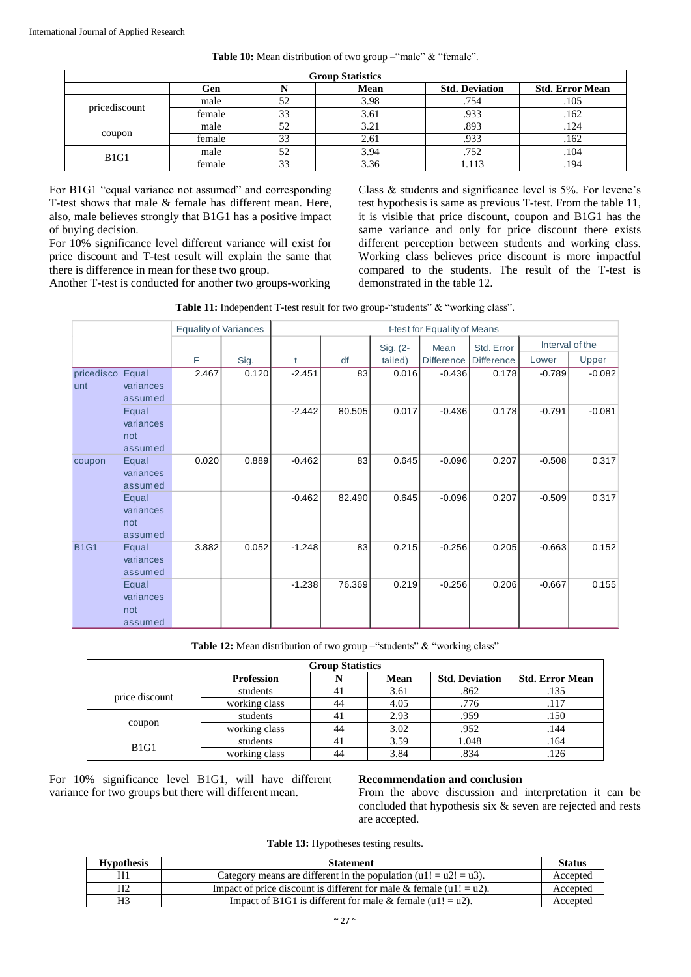| <b>Table 10:</b> Mean distribution of two group -"male" & "female". |  |  |  |  |  |
|---------------------------------------------------------------------|--|--|--|--|--|
|---------------------------------------------------------------------|--|--|--|--|--|

| <b>Group Statistics</b> |        |        |      |                       |                        |  |  |
|-------------------------|--------|--------|------|-----------------------|------------------------|--|--|
|                         | Gen    |        | Mean | <b>Std. Deviation</b> | <b>Std. Error Mean</b> |  |  |
|                         | male   | 52     | 3.98 | .754                  | .105                   |  |  |
| pricediscount           | female | 33     | 3.61 | .933                  | .162                   |  |  |
| coupon                  | male   | 52     | 3.21 | .893                  | .124                   |  |  |
|                         | female | 33     | 2.61 | .933                  | .162                   |  |  |
| B1G1                    | male   | 52     | 3.94 | .752                  | .104                   |  |  |
|                         | female | $\sim$ | 3.36 | 1.113                 | .194                   |  |  |

For B1G1 "equal variance not assumed" and corresponding T-test shows that male & female has different mean. Here, also, male believes strongly that B1G1 has a positive impact of buying decision.

For 10% significance level different variance will exist for price discount and T-test result will explain the same that there is difference in mean for these two group.

Another T-test is conducted for another two groups-working

Class & students and significance level is 5%. For levene's test hypothesis is same as previous T-test. From the table 11, it is visible that price discount, coupon and B1G1 has the same variance and only for price discount there exists different perception between students and working class. Working class believes price discount is more impactful compared to the students. The result of the T-test is demonstrated in the table 12.

| Table 11: Independent T-test result for two group-"students" & "working class". |  |
|---------------------------------------------------------------------------------|--|
|---------------------------------------------------------------------------------|--|

|             |                  |                                      | <b>Equality of Variances</b>                                                                           |                           | t-test for Equality of Means   |                                                                        |               |                                      |                       |                                                                                                               |                 |  |
|-------------|------------------|--------------------------------------|--------------------------------------------------------------------------------------------------------|---------------------------|--------------------------------|------------------------------------------------------------------------|---------------|--------------------------------------|-----------------------|---------------------------------------------------------------------------------------------------------------|-----------------|--|
|             |                  |                                      |                                                                                                        |                           | Sig. (2-<br>Mean<br>Std. Error |                                                                        |               |                                      |                       |                                                                                                               | Interval of the |  |
|             |                  |                                      | F                                                                                                      | Sig.                      | t                              | df                                                                     | tailed)       | <b>Difference</b>                    | <b>Difference</b>     | Lower                                                                                                         | Upper           |  |
| unt         | pricedisco Equal | variances<br>assumed                 | 2.467                                                                                                  | 0.120                     | $-2.451$                       | 83                                                                     | 0.016         | $-0.436$                             | 0.178                 | $-0.789$                                                                                                      | $-0.082$        |  |
|             |                  | Equal<br>variances<br>not<br>assumed |                                                                                                        |                           | $-2.442$                       | 80.505                                                                 | 0.017         | $-0.436$                             | 0.178                 | $-0.791$                                                                                                      | $-0.081$        |  |
|             | coupon           | Equal<br>variances<br>assumed        | 0.020                                                                                                  | 0.889                     | $-0.462$                       | 83                                                                     | 0.645         | $-0.096$                             | 0.207                 | $-0.508$                                                                                                      | 0.317           |  |
|             |                  | Equal<br>variances<br>not<br>assumed |                                                                                                        |                           | $-0.462$                       | 82.490                                                                 | 0.645         | $-0.096$                             | 0.207                 | $-0.509$                                                                                                      | 0.317           |  |
| <b>B1G1</b> |                  | Equal<br>variances<br>assumed        | 3.882                                                                                                  | 0.052                     | $-1.248$                       | 83                                                                     | 0.215         | $-0.256$                             | 0.205                 | $-0.663$                                                                                                      | 0.152           |  |
|             |                  | Equal<br>variances<br>not<br>assumed |                                                                                                        |                           | $-1.238$                       | 76.369                                                                 | 0.219         | $-0.256$                             | 0.206                 | $-0.667$                                                                                                      | 0.155           |  |
|             |                  |                                      |                                                                                                        |                           |                                | Table 12: Mean distribution of two group -"students" & "working class" |               |                                      |                       |                                                                                                               |                 |  |
|             |                  |                                      |                                                                                                        |                           |                                | <b>Group Statistics</b>                                                |               |                                      |                       |                                                                                                               |                 |  |
|             |                  |                                      |                                                                                                        | <b>Profession</b>         |                                | N                                                                      | Mean          |                                      | <b>Std. Deviation</b> | <b>Std. Error Mean</b>                                                                                        |                 |  |
|             |                  | price discount                       |                                                                                                        | students                  |                                | 41                                                                     | 3.61          |                                      | .862                  | .135                                                                                                          |                 |  |
|             |                  |                                      |                                                                                                        | working class             |                                | 44                                                                     | 4.05<br>2.93  |                                      | .776<br>.959          | .117                                                                                                          |                 |  |
|             |                  | coupon                               |                                                                                                        | students                  |                                | 41<br>44                                                               | 3.02          |                                      | .952                  | .150<br>.144                                                                                                  |                 |  |
|             |                  |                                      |                                                                                                        | working class<br>students |                                | 41                                                                     | 3.59          |                                      |                       | .164                                                                                                          |                 |  |
|             |                  | <b>B1G1</b><br>working class         |                                                                                                        |                           | 44                             | 3.84                                                                   | 1.048<br>.834 |                                      | .126                  |                                                                                                               |                 |  |
|             |                  |                                      | 10% significance level B1G1, will have different<br>ance for two groups but there will different mean. |                           |                                | Table 13: Hypotheses testing results.                                  | are accepted. | <b>Recommendation and conclusion</b> |                       | From the above discussion and interpretation it can<br>concluded that hypothesis six & seven are rejected and |                 |  |
|             |                  | <b>Hypothesis</b>                    |                                                                                                        |                           |                                | <b>Statement</b>                                                       |               |                                      |                       |                                                                                                               | <b>Status</b>   |  |
|             |                  | $\overline{H1}$                      |                                                                                                        |                           |                                | Category means are different in the population $(u1! = u2! = u3)$ .    |               |                                      |                       |                                                                                                               | Accepted        |  |
|             |                  | H2                                   |                                                                                                        |                           |                                | Impact of price discount is different for male $&$ female (u1! = u2).  |               |                                      |                       |                                                                                                               | Accepted        |  |
|             |                  | H <sub>3</sub>                       |                                                                                                        |                           |                                | Impact of B1G1 is different for male $&$ female (u1! = u2).            |               |                                      |                       |                                                                                                               | Accepted        |  |

Table 12: Mean distribution of two group – "students" & "working class"

| <b>Group Statistics</b> |                   |     |      |                       |                        |  |  |
|-------------------------|-------------------|-----|------|-----------------------|------------------------|--|--|
|                         | <b>Profession</b> |     | Mean | <b>Std. Deviation</b> | <b>Std. Error Mean</b> |  |  |
|                         | students          | -41 | 3.61 | .862                  | .135                   |  |  |
| price discount          | working class     | 44  | 4.05 | .776                  | .117                   |  |  |
| coupon                  | students          | 41  | 2.93 | .959                  | .150                   |  |  |
|                         | working class     | 44  | 3.02 | .952                  | .144                   |  |  |
| B1G1                    | students          | 41  | 3.59 | 1.048                 | .164                   |  |  |
|                         | working class     | 44  | 3.84 |                       | 126                    |  |  |

For 10% significance level B1G1, will have different variance for two groups but there will different mean.

#### **Recommendation and conclusion**

From the above discussion and interpretation it can be concluded that hypothesis six & seven are rejected and rests are accepted.

| <b>Hypothesis</b> | <b>Statement</b>                                                       | <b>Status</b> |
|-------------------|------------------------------------------------------------------------|---------------|
| H1                | Category means are different in the population $(u1! = u2! = u3)$ .    | Accepted      |
| H2                | Impact of price discount is different for male $\&$ female (u1! = u2). | Accepted      |
| H3                | Impact of B1G1 is different for male & female $(u1! = u2)$ .           | Accepted      |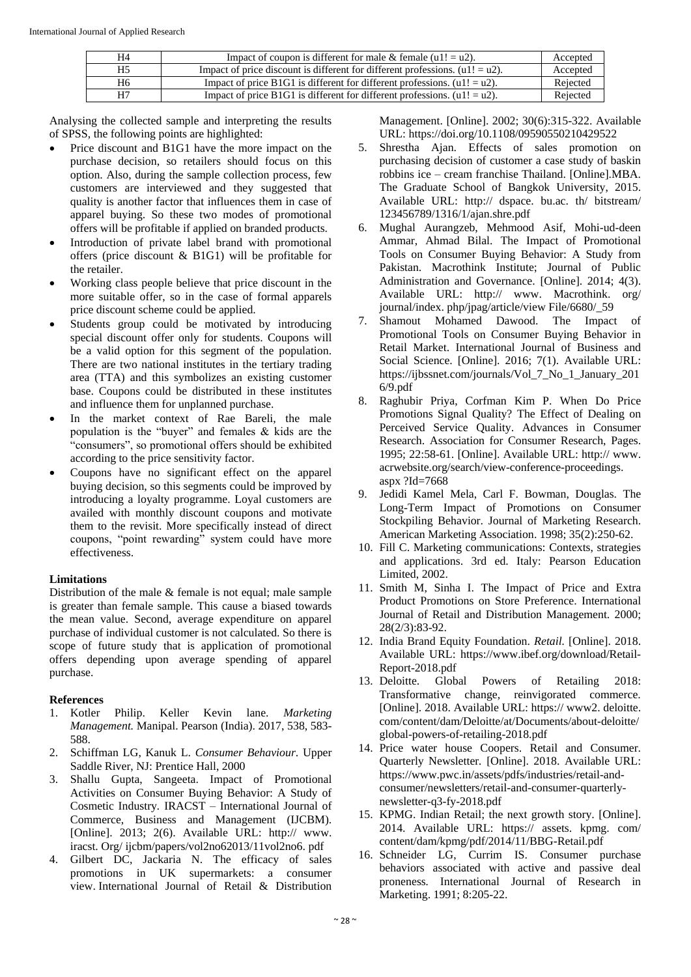| H4 | Impact of coupon is different for male & female $(u1! = u2)$ .                    | Accepted |
|----|-----------------------------------------------------------------------------------|----------|
| H5 | Impact of price discount is different for different professions. $(u_1! = u_2)$ . | Accepted |
| H6 | Impact of price B1G1 is different for different professions. $(u_1! = u_2)$ .     | Rejected |
| H7 | Impact of price B1G1 is different for different professions. $(u_1! = u_2)$ .     | Rejected |

Analysing the collected sample and interpreting the results of SPSS, the following points are highlighted:

- Price discount and B1G1 have the more impact on the purchase decision, so retailers should focus on this option. Also, during the sample collection process, few customers are interviewed and they suggested that quality is another factor that influences them in case of apparel buying. So these two modes of promotional offers will be profitable if applied on branded products.
- Introduction of private label brand with promotional offers (price discount & B1G1) will be profitable for the retailer.
- Working class people believe that price discount in the more suitable offer, so in the case of formal apparels price discount scheme could be applied.
- Students group could be motivated by introducing special discount offer only for students. Coupons will be a valid option for this segment of the population. There are two national institutes in the tertiary trading area (TTA) and this symbolizes an existing customer base. Coupons could be distributed in these institutes and influence them for unplanned purchase.
- In the market context of Rae Bareli, the male population is the "buyer" and females & kids are the "consumers", so promotional offers should be exhibited according to the price sensitivity factor.
- Coupons have no significant effect on the apparel buying decision, so this segments could be improved by introducing a loyalty programme. Loyal customers are availed with monthly discount coupons and motivate them to the revisit. More specifically instead of direct coupons, "point rewarding" system could have more effectiveness.

## **Limitations**

Distribution of the male & female is not equal; male sample is greater than female sample. This cause a biased towards the mean value. Second, average expenditure on apparel purchase of individual customer is not calculated. So there is scope of future study that is application of promotional offers depending upon average spending of apparel purchase.

## **References**

- 1. Kotler Philip. Keller Kevin lane. *Marketing Management.* Manipal. Pearson (India). 2017, 538, 583- 588.
- 2. Schiffman LG, Kanuk L. *Consumer Behaviour*. Upper Saddle River, NJ: Prentice Hall, 2000
- 3. Shallu Gupta, Sangeeta. Impact of Promotional Activities on Consumer Buying Behavior: A Study of Cosmetic Industry*.* IRACST – International Journal of Commerce, Business and Management (IJCBM). [Online]. 2013; 2(6). Available URL: http:// www. iracst. Org/ ijcbm/papers/vol2no62013/11vol2no6. pdf
- 4. Gilbert DC, Jackaria N. The efficacy of sales promotions in UK supermarkets: a consumer view. International Journal of Retail & Distribution

Management. [Online]. 2002; 30(6):315-322. Available URL: https://doi.org/10.1108/09590550210429522

- 5. Shrestha Ajan. Effects of sales promotion on purchasing decision of customer a case study of baskin robbins ice – cream franchise Thailand. [Online].MBA. The Graduate School of Bangkok University, 2015. Available URL: http:// dspace. bu.ac. th/ bitstream/ 123456789/1316/1/ajan.shre.pdf
- 6. Mughal Aurangzeb, Mehmood Asif, Mohi-ud-deen Ammar, Ahmad Bilal. The Impact of Promotional Tools on Consumer Buying Behavior: A Study from Pakistan. Macrothink Institute; Journal of Public Administration and Governance. [Online]. 2014; 4(3). Available URL: http:// www. Macrothink. org/ journal/index. php/jpag/article/view File/6680/\_59
- 7. Shamout Mohamed Dawood. The Impact of Promotional Tools on Consumer Buying Behavior in Retail Market. International Journal of Business and Social Science. [Online]. 2016; 7(1). Available URL: https://ijbssnet.com/journals/Vol\_7\_No\_1\_January\_201 6/9.pdf
- 8. Raghubir Priya, Corfman Kim P. When Do Price Promotions Signal Quality? The Effect of Dealing on Perceived Service Quality. Advances in Consumer Research. Association for Consumer Research, Pages. 1995; 22:58-61. [Online]. Available URL: http:// www. acrwebsite.org/search/view-conference-proceedings. aspx ?Id=7668
- 9. Jedidi Kamel Mela, Carl F. Bowman, Douglas. The Long-Term Impact of Promotions on Consumer Stockpiling Behavior. Journal of Marketing Research. American Marketing Association. 1998; 35(2):250-62.
- 10. Fill C. Marketing communications: Contexts, strategies and applications. 3rd ed. Italy: Pearson Education Limited, 2002.
- 11. Smith M, Sinha I. The Impact of Price and Extra Product Promotions on Store Preference. International Journal of Retail and Distribution Management. 2000; 28(2/3):83-92.
- 12. India Brand Equity Foundation. *Retail.* [Online]. 2018. Available URL: https://www.ibef.org/download/Retail-Report-2018.pdf
- 13. Deloitte. Global Powers of Retailing 2018: Transformative change, reinvigorated commerce. [Online]. 2018. Available URL: https:// www2. deloitte. com/content/dam/Deloitte/at/Documents/about-deloitte/ global-powers-of-retailing-2018.pdf
- 14. Price water house Coopers. Retail and Consumer. Quarterly Newsletter*.* [Online]. 2018. Available URL: https://www.pwc.in/assets/pdfs/industries/retail-andconsumer/newsletters/retail-and-consumer-quarterlynewsletter-q3-fy-2018.pdf
- 15. KPMG. Indian Retail; the next growth story. [Online]. 2014. Available URL: https:// assets. kpmg. com/ content/dam/kpmg/pdf/2014/11/BBG-Retail.pdf
- 16. Schneider LG, Currim IS. Consumer purchase behaviors associated with active and passive deal proneness*.* International Journal of Research in Marketing. 1991; 8:205-22.